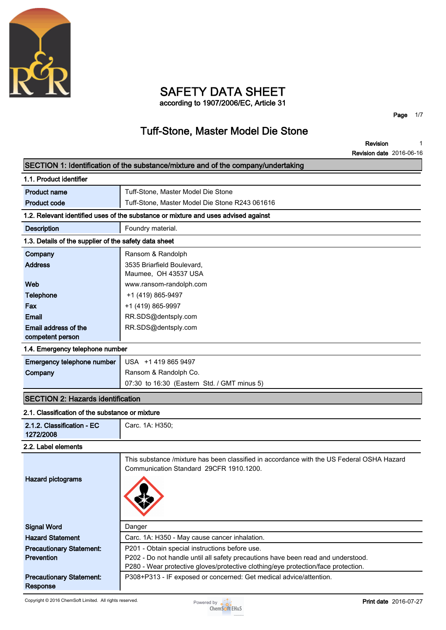

### **SAFETY DATA SHEET according to 1907/2006/EC, Article 31**

**Page 1/7**

## **Tuff-Stone, Master Model Die Stone**

**Revision Revision date 2016-06-16 1**

| SECTION 1: Identification of the substance/mixture and of the company/undertaking  |                                                                                                                                      |  |  |  |  |
|------------------------------------------------------------------------------------|--------------------------------------------------------------------------------------------------------------------------------------|--|--|--|--|
| 1.1. Product identifier                                                            |                                                                                                                                      |  |  |  |  |
| <b>Product name</b>                                                                | Tuff-Stone, Master Model Die Stone                                                                                                   |  |  |  |  |
| <b>Product code</b>                                                                | Tuff-Stone, Master Model Die Stone R243 061616                                                                                       |  |  |  |  |
| 1.2. Relevant identified uses of the substance or mixture and uses advised against |                                                                                                                                      |  |  |  |  |
| <b>Description</b>                                                                 | Foundry material.                                                                                                                    |  |  |  |  |
| 1.3. Details of the supplier of the safety data sheet                              |                                                                                                                                      |  |  |  |  |
| Company                                                                            | Ransom & Randolph                                                                                                                    |  |  |  |  |
| <b>Address</b>                                                                     | 3535 Briarfield Boulevard,                                                                                                           |  |  |  |  |
|                                                                                    | Maumee, OH 43537 USA                                                                                                                 |  |  |  |  |
| Web                                                                                | www.ransom-randolph.com                                                                                                              |  |  |  |  |
| <b>Telephone</b>                                                                   | +1 (419) 865-9497                                                                                                                    |  |  |  |  |
| Fax                                                                                | +1 (419) 865-9997                                                                                                                    |  |  |  |  |
| Email                                                                              | RR.SDS@dentsply.com                                                                                                                  |  |  |  |  |
| Email address of the                                                               | RR.SDS@dentsply.com                                                                                                                  |  |  |  |  |
| competent person                                                                   |                                                                                                                                      |  |  |  |  |
| 1.4. Emergency telephone number                                                    |                                                                                                                                      |  |  |  |  |
| Emergency telephone number                                                         | USA +1 419 865 9497                                                                                                                  |  |  |  |  |
| Company                                                                            | Ransom & Randolph Co.                                                                                                                |  |  |  |  |
|                                                                                    | 07:30 to 16:30 (Eastern Std. / GMT minus 5)                                                                                          |  |  |  |  |
| <b>SECTION 2: Hazards identification</b>                                           |                                                                                                                                      |  |  |  |  |
| 2.1. Classification of the substance or mixture                                    |                                                                                                                                      |  |  |  |  |
| 2.1.2. Classification - EC<br>1272/2008                                            | Carc. 1A: H350;                                                                                                                      |  |  |  |  |
| 2.2. Label elements                                                                |                                                                                                                                      |  |  |  |  |
|                                                                                    | This substance /mixture has been classified in accordance with the US Federal OSHA Hazard<br>Communication Standard 29CFR 1910.1200. |  |  |  |  |
| <b>Hazard pictograms</b>                                                           |                                                                                                                                      |  |  |  |  |
| <b>Signal Word</b>                                                                 | Danger                                                                                                                               |  |  |  |  |
| <b>Hazard Statement</b>                                                            | Carc. 1A: H350 - May cause cancer inhalation.                                                                                        |  |  |  |  |
| <b>Precautionary Statement:</b>                                                    | P201 - Obtain special instructions before use.                                                                                       |  |  |  |  |
| Prevention                                                                         | P202 - Do not handle until all safety precautions have been read and understood.                                                     |  |  |  |  |
|                                                                                    | P280 - Wear protective gloves/protective clothing/eye protection/face protection.                                                    |  |  |  |  |
| <b>Precautionary Statement:</b><br>Response                                        | P308+P313 - IF exposed or concerned: Get medical advice/attention.                                                                   |  |  |  |  |

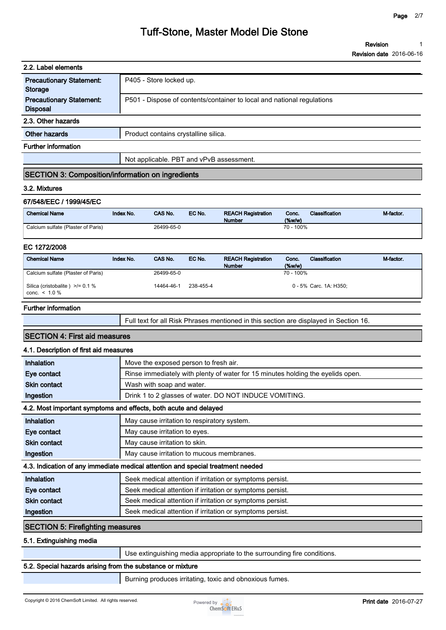| 2.2. Label elements                                |                                                                        |  |  |  |
|----------------------------------------------------|------------------------------------------------------------------------|--|--|--|
| <b>Precautionary Statement:</b><br>Storage         | P405 - Store locked up.                                                |  |  |  |
| <b>Precautionary Statement:</b><br><b>Disposal</b> | P501 - Dispose of contents/container to local and national regulations |  |  |  |
| 2.3. Other hazards                                 |                                                                        |  |  |  |
| Other hazards                                      | Product contains crystalline silica.                                   |  |  |  |
| <b>Further information</b>                         |                                                                        |  |  |  |
|                                                    | Not applicable. PBT and vPvB assessment.                               |  |  |  |

### **SECTION 3: Composition/information on ingredients**

#### **3.2. Mixtures**

#### **67/548/EEC / 1999/45/EC**

| <b>Chemical Name</b>               | Index No. | <b>CAS No.</b> | EC No. | <b>REACH Registration</b><br><b>Number</b> | Conc.<br>$(\%w/w)$ | Classification | M-factor. |
|------------------------------------|-----------|----------------|--------|--------------------------------------------|--------------------|----------------|-----------|
| Calcium sulfate (Plaster of Paris) |           | 26499-65-0     |        |                                            | 70 - 100%          |                |           |

#### **EC 1272/2008**

| <b>Chemical Name</b>                                    | Index No. | <b>CAS No.</b> | EC No.    | <b>REACH Registration</b><br><b>Number</b> | Conc.<br>$(\%w/w)$ | Classification         | M-factor. |
|---------------------------------------------------------|-----------|----------------|-----------|--------------------------------------------|--------------------|------------------------|-----------|
| Calcium sulfate (Plaster of Paris)                      |           | 26499-65-0     |           |                                            | 70 - 100%          |                        |           |
| Silica (cristobalite) $\ge$ /= 0.1 %<br>conc. $< 1.0 %$ |           | 14464-46-1     | 238-455-4 |                                            |                    | 0 - 5% Carc. 1A: H350: |           |

#### **Further information**

|  | Full text for all Risk Phrases mentioned in this section are displayed in Section 16. |
|--|---------------------------------------------------------------------------------------|
|--|---------------------------------------------------------------------------------------|

#### **SECTION 4: First aid measures**

#### **4.1. Description of first aid measures**

| Inhalation                              | Move the exposed person to fresh air.                                           |  |  |  |  |
|-----------------------------------------|---------------------------------------------------------------------------------|--|--|--|--|
| Eye contact                             | Rinse immediately with plenty of water for 15 minutes holding the eyelids open. |  |  |  |  |
| <b>Skin contact</b>                     | Wash with soap and water.                                                       |  |  |  |  |
| Ingestion                               | Drink 1 to 2 glasses of water. DO NOT INDUCE VOMITING.                          |  |  |  |  |
|                                         | 4.2. Most important symptoms and effects, both acute and delayed                |  |  |  |  |
| Inhalation                              | May cause irritation to respiratory system.                                     |  |  |  |  |
| Eye contact                             | May cause irritation to eyes.                                                   |  |  |  |  |
| <b>Skin contact</b>                     | May cause irritation to skin.                                                   |  |  |  |  |
| Ingestion                               | May cause irritation to mucous membranes.                                       |  |  |  |  |
|                                         | 4.3. Indication of any immediate medical attention and special treatment needed |  |  |  |  |
| <b>Inhalation</b>                       | Seek medical attention if irritation or symptoms persist.                       |  |  |  |  |
| Eye contact                             | Seek medical attention if irritation or symptoms persist.                       |  |  |  |  |
| <b>Skin contact</b>                     | Seek medical attention if irritation or symptoms persist.                       |  |  |  |  |
| Ingestion                               | Seek medical attention if irritation or symptoms persist.                       |  |  |  |  |
| <b>SECTION 5: Firefighting measures</b> |                                                                                 |  |  |  |  |
| 5.1. Extinguishing media                |                                                                                 |  |  |  |  |

**Use extinguishing media appropriate to the surrounding fire conditions.**

#### **5.2. Special hazards arising from the substance or mixture**

**Burning produces irritating, toxic and obnoxious fumes.**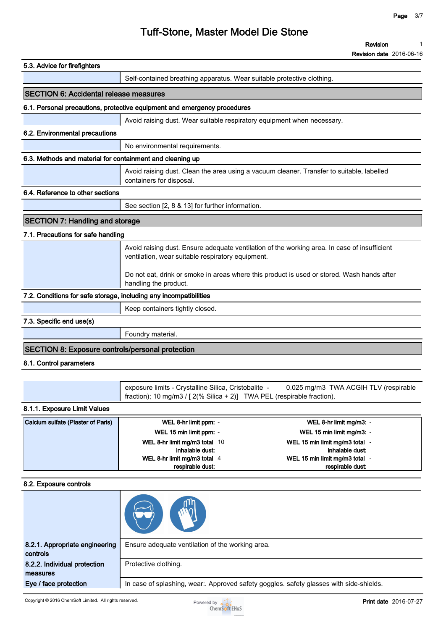|                                                           |                                                                                                                                    | <b>Revision date</b> 2016-06-16                                                              |
|-----------------------------------------------------------|------------------------------------------------------------------------------------------------------------------------------------|----------------------------------------------------------------------------------------------|
| 5.3. Advice for firefighters                              |                                                                                                                                    |                                                                                              |
|                                                           | Self-contained breathing apparatus. Wear suitable protective clothing.                                                             |                                                                                              |
| <b>SECTION 6: Accidental release measures</b>             |                                                                                                                                    |                                                                                              |
|                                                           | 6.1. Personal precautions, protective equipment and emergency procedures                                                           |                                                                                              |
|                                                           | Avoid raising dust. Wear suitable respiratory equipment when necessary.                                                            |                                                                                              |
| 6.2. Environmental precautions                            |                                                                                                                                    |                                                                                              |
|                                                           | No environmental requirements.                                                                                                     |                                                                                              |
| 6.3. Methods and material for containment and cleaning up |                                                                                                                                    |                                                                                              |
|                                                           | containers for disposal.                                                                                                           | Avoid raising dust. Clean the area using a vacuum cleaner. Transfer to suitable, labelled    |
| 6.4. Reference to other sections                          |                                                                                                                                    |                                                                                              |
|                                                           | See section [2, 8 & 13] for further information.                                                                                   |                                                                                              |
| <b>SECTION 7: Handling and storage</b>                    |                                                                                                                                    |                                                                                              |
| 7.1. Precautions for safe handling                        |                                                                                                                                    |                                                                                              |
|                                                           | ventilation, wear suitable respiratory equipment.                                                                                  | Avoid raising dust. Ensure adequate ventilation of the working area. In case of insufficient |
|                                                           | handling the product.                                                                                                              | Do not eat, drink or smoke in areas where this product is used or stored. Wash hands after   |
|                                                           | 7.2. Conditions for safe storage, including any incompatibilities                                                                  |                                                                                              |
|                                                           | Keep containers tightly closed.                                                                                                    |                                                                                              |
| 7.3. Specific end use(s)                                  |                                                                                                                                    |                                                                                              |
|                                                           | Foundry material.                                                                                                                  |                                                                                              |
| <b>SECTION 8: Exposure controls/personal protection</b>   |                                                                                                                                    |                                                                                              |
| 8.1. Control parameters                                   |                                                                                                                                    |                                                                                              |
|                                                           |                                                                                                                                    |                                                                                              |
|                                                           | exposure limits - Crystalline Silica, Cristobalite -<br>fraction); 10 mg/m3 / [ $2$ (% Silica + 2)] TWA PEL (respirable fraction). | 0.025 mg/m3 TWA ACGIH TLV (respirable                                                        |
| 8.1.1. Exposure Limit Values                              |                                                                                                                                    |                                                                                              |
| Calcium sulfate (Plaster of Paris)                        | WEL 8-hr limit ppm: -                                                                                                              | WEL 8-hr limit mg/m3: -                                                                      |
|                                                           | WEL 15 min limit ppm: -                                                                                                            | WEL 15 min limit mg/m3: -                                                                    |
|                                                           | WEL 8-hr limit mg/m3 total 10<br>inhalable dust:                                                                                   | WEL 15 min limit mg/m3 total -<br>inhalable dust:                                            |
|                                                           | WEL 8-hr limit mg/m3 total 4<br>respirable dust:                                                                                   | WEL 15 min limit mg/m3 total -<br>respirable dust:                                           |
|                                                           |                                                                                                                                    |                                                                                              |
| 8.2. Exposure controls                                    |                                                                                                                                    |                                                                                              |

| 8.2.1. Appropriate engineering<br>controls              | Ensure adequate ventilation of the working area.                                        |                              |
|---------------------------------------------------------|-----------------------------------------------------------------------------------------|------------------------------|
| 8.2.2. Individual protection<br>measures                | Protective clothing.                                                                    |                              |
| Eye / face protection                                   | In case of splashing, wear:. Approved safety goggles. safety glasses with side-shields. |                              |
| Copyright © 2016 ChemSoft Limited. All rights reserved. | Powered by                                                                              | <b>Print date 2016-07-27</b> |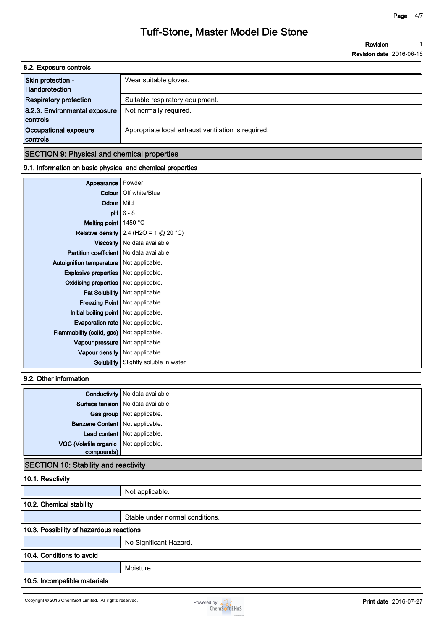**Revision Revision date 2016-06-16 1**

| 8.2. Exposure controls                    |                                                    |
|-------------------------------------------|----------------------------------------------------|
| Skin protection -<br>Handprotection       | Wear suitable gloves.                              |
| <b>Respiratory protection</b>             | Suitable respiratory equipment.                    |
| 8.2.3. Environmental exposure<br>controls | Not normally required.                             |
| Occupational exposure<br>controls         | Appropriate local exhaust ventilation is required. |
|                                           |                                                    |

#### **SECTION 9: Physical and chemical properties**

#### **9.1. Information on basic physical and chemical properties**

| Appearance Powder                                |                                                 |
|--------------------------------------------------|-------------------------------------------------|
|                                                  | <b>Colour</b>   Off white/Blue                  |
| Odour   Mild                                     |                                                 |
|                                                  | $pH$ 6 - 8                                      |
| Melting point $1450 °C$                          |                                                 |
|                                                  | <b>Relative density</b> 2.4 (H2O = 1 $@$ 20 °C) |
|                                                  | Viscosity   No data available                   |
| Partition coefficient   No data available        |                                                 |
| <b>Autoignition temperature</b> Not applicable.  |                                                 |
| <b>Explosive properties</b> Not applicable.      |                                                 |
| Oxidising properties   Not applicable.           |                                                 |
|                                                  | Fat Solubility   Not applicable.                |
|                                                  | Freezing Point   Not applicable.                |
| Initial boiling point Not applicable.            |                                                 |
| <b>Evaporation rate</b> Not applicable.          |                                                 |
| <b>Flammability (solid, gas)</b> Not applicable. |                                                 |
| Vapour pressure   Not applicable.                |                                                 |
|                                                  | Vapour density   Not applicable.                |
|                                                  | Solubility Slightly soluble in water            |

#### **9.2. Other information**

|                                       | <b>Conductivity</b> No data available |
|---------------------------------------|---------------------------------------|
|                                       | Surface tension   No data available   |
|                                       | Gas group Not applicable.             |
| Benzene Content   Not applicable.     |                                       |
|                                       | Lead content Not applicable.          |
| VOC (Volatile organic Not applicable. |                                       |
| compounds)                            |                                       |
|                                       |                                       |

#### **SECTION 10: Stability and reactivity**

#### **10.1. Reactivity**

|                              | Not applicable.                          |  |  |
|------------------------------|------------------------------------------|--|--|
| 10.2. Chemical stability     |                                          |  |  |
|                              | Stable under normal conditions.          |  |  |
|                              | 10.3. Possibility of hazardous reactions |  |  |
|                              | No Significant Hazard.                   |  |  |
| 10.4. Conditions to avoid    |                                          |  |  |
|                              | Moisture.                                |  |  |
| 10.5. Incompatible materials |                                          |  |  |

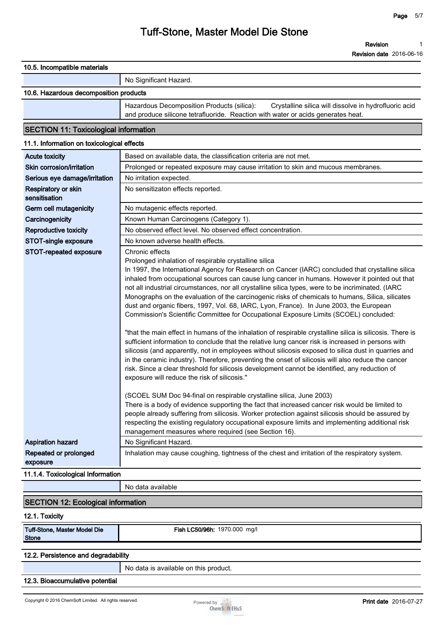| TU.5. INCOMpanDie Materials                  |                                                                                                                                                                                                                                                                                                                                                                                                                                                                                                                                                                                                                                                                                                                                                                                                                                                                                                                                                                                                                                                                                                                                                                                                                                                                                                                                                                                                                                                                                                                                                                                                                                  |
|----------------------------------------------|----------------------------------------------------------------------------------------------------------------------------------------------------------------------------------------------------------------------------------------------------------------------------------------------------------------------------------------------------------------------------------------------------------------------------------------------------------------------------------------------------------------------------------------------------------------------------------------------------------------------------------------------------------------------------------------------------------------------------------------------------------------------------------------------------------------------------------------------------------------------------------------------------------------------------------------------------------------------------------------------------------------------------------------------------------------------------------------------------------------------------------------------------------------------------------------------------------------------------------------------------------------------------------------------------------------------------------------------------------------------------------------------------------------------------------------------------------------------------------------------------------------------------------------------------------------------------------------------------------------------------------|
|                                              | No Significant Hazard.                                                                                                                                                                                                                                                                                                                                                                                                                                                                                                                                                                                                                                                                                                                                                                                                                                                                                                                                                                                                                                                                                                                                                                                                                                                                                                                                                                                                                                                                                                                                                                                                           |
| 10.6. Hazardous decomposition products       |                                                                                                                                                                                                                                                                                                                                                                                                                                                                                                                                                                                                                                                                                                                                                                                                                                                                                                                                                                                                                                                                                                                                                                                                                                                                                                                                                                                                                                                                                                                                                                                                                                  |
|                                              | Hazardous Decomposition Products (silica):<br>Crystalline silica will dissolve in hydrofluoric acid<br>and produce silicone tetrafluoride. Reaction with water or acids generates heat.                                                                                                                                                                                                                                                                                                                                                                                                                                                                                                                                                                                                                                                                                                                                                                                                                                                                                                                                                                                                                                                                                                                                                                                                                                                                                                                                                                                                                                          |
| <b>SECTION 11: Toxicological information</b> |                                                                                                                                                                                                                                                                                                                                                                                                                                                                                                                                                                                                                                                                                                                                                                                                                                                                                                                                                                                                                                                                                                                                                                                                                                                                                                                                                                                                                                                                                                                                                                                                                                  |
| 11.1. Information on toxicological effects   |                                                                                                                                                                                                                                                                                                                                                                                                                                                                                                                                                                                                                                                                                                                                                                                                                                                                                                                                                                                                                                                                                                                                                                                                                                                                                                                                                                                                                                                                                                                                                                                                                                  |
| <b>Acute toxicity</b>                        | Based on available data, the classification criteria are not met.                                                                                                                                                                                                                                                                                                                                                                                                                                                                                                                                                                                                                                                                                                                                                                                                                                                                                                                                                                                                                                                                                                                                                                                                                                                                                                                                                                                                                                                                                                                                                                |
| Skin corrosion/irritation                    | Prolonged or repeated exposure may cause irritation to skin and mucous membranes.                                                                                                                                                                                                                                                                                                                                                                                                                                                                                                                                                                                                                                                                                                                                                                                                                                                                                                                                                                                                                                                                                                                                                                                                                                                                                                                                                                                                                                                                                                                                                |
| Serious eye damage/irritation                | No irritation expected.                                                                                                                                                                                                                                                                                                                                                                                                                                                                                                                                                                                                                                                                                                                                                                                                                                                                                                                                                                                                                                                                                                                                                                                                                                                                                                                                                                                                                                                                                                                                                                                                          |
| Respiratory or skin<br>sensitisation         | No sensitizaton effects reported.                                                                                                                                                                                                                                                                                                                                                                                                                                                                                                                                                                                                                                                                                                                                                                                                                                                                                                                                                                                                                                                                                                                                                                                                                                                                                                                                                                                                                                                                                                                                                                                                |
| Germ cell mutagenicity                       | No mutagenic effects reported.                                                                                                                                                                                                                                                                                                                                                                                                                                                                                                                                                                                                                                                                                                                                                                                                                                                                                                                                                                                                                                                                                                                                                                                                                                                                                                                                                                                                                                                                                                                                                                                                   |
| Carcinogenicity                              | Known Human Carcinogens (Category 1).                                                                                                                                                                                                                                                                                                                                                                                                                                                                                                                                                                                                                                                                                                                                                                                                                                                                                                                                                                                                                                                                                                                                                                                                                                                                                                                                                                                                                                                                                                                                                                                            |
| <b>Reproductive toxicity</b>                 | No observed effect level. No observed effect concentration.                                                                                                                                                                                                                                                                                                                                                                                                                                                                                                                                                                                                                                                                                                                                                                                                                                                                                                                                                                                                                                                                                                                                                                                                                                                                                                                                                                                                                                                                                                                                                                      |
| <b>STOT-single exposure</b>                  | No known adverse health effects.                                                                                                                                                                                                                                                                                                                                                                                                                                                                                                                                                                                                                                                                                                                                                                                                                                                                                                                                                                                                                                                                                                                                                                                                                                                                                                                                                                                                                                                                                                                                                                                                 |
|                                              | Prolonged inhalation of respirable crystalline silica<br>In 1997, the International Agency for Research on Cancer (IARC) concluded that crystalline silica<br>inhaled from occupational sources can cause lung cancer in humans. However it pointed out that<br>not all industrial circumstances, nor all crystalline silica types, were to be incriminated. (IARC<br>Monographs on the evaluation of the carcinogenic risks of chemicals to humans, Silica, silicates<br>dust and organic fibers, 1997, Vol. 68, IARC, Lyon, France). In June 2003, the European<br>Commission's Scientific Committee for Occupational Exposure Limits (SCOEL) concluded:<br>"that the main effect in humans of the inhalation of respirable crystalline silica is silicosis. There is<br>sufficient information to conclude that the relative lung cancer risk is increased in persons with<br>silicosis (and apparently, not in employees without silicosis exposed to silica dust in quarries and<br>in the ceramic industry). Therefore, preventing the onset of silicosis will also reduce the cancer<br>risk. Since a clear threshold for silicosis development cannot be identified, any reduction of<br>exposure will reduce the risk of silicosis."<br>(SCOEL SUM Doc 94-final on respirable crystalline silica, June 2003)<br>There is a body of evidence supporting the fact that increased cancer risk would be limited to<br>people already suffering from silicosis. Worker protection against silicosis should be assured by<br>respecting the existing regulatory occupational exposure limits and implementing additional risk |
|                                              | management measures where required (see Section 16).                                                                                                                                                                                                                                                                                                                                                                                                                                                                                                                                                                                                                                                                                                                                                                                                                                                                                                                                                                                                                                                                                                                                                                                                                                                                                                                                                                                                                                                                                                                                                                             |
| <b>Aspiration hazard</b>                     | No Significant Hazard.                                                                                                                                                                                                                                                                                                                                                                                                                                                                                                                                                                                                                                                                                                                                                                                                                                                                                                                                                                                                                                                                                                                                                                                                                                                                                                                                                                                                                                                                                                                                                                                                           |
| Repeated or prolonged<br>exposure            | Inhalation may cause coughing, tightness of the chest and irritation of the respiratory system.                                                                                                                                                                                                                                                                                                                                                                                                                                                                                                                                                                                                                                                                                                                                                                                                                                                                                                                                                                                                                                                                                                                                                                                                                                                                                                                                                                                                                                                                                                                                  |
| 11.1.4. Toxicological Information            |                                                                                                                                                                                                                                                                                                                                                                                                                                                                                                                                                                                                                                                                                                                                                                                                                                                                                                                                                                                                                                                                                                                                                                                                                                                                                                                                                                                                                                                                                                                                                                                                                                  |
|                                              | No data available                                                                                                                                                                                                                                                                                                                                                                                                                                                                                                                                                                                                                                                                                                                                                                                                                                                                                                                                                                                                                                                                                                                                                                                                                                                                                                                                                                                                                                                                                                                                                                                                                |
| <b>SECTION 12: Ecological information</b>    |                                                                                                                                                                                                                                                                                                                                                                                                                                                                                                                                                                                                                                                                                                                                                                                                                                                                                                                                                                                                                                                                                                                                                                                                                                                                                                                                                                                                                                                                                                                                                                                                                                  |
| $12.4$ Tovioih                               |                                                                                                                                                                                                                                                                                                                                                                                                                                                                                                                                                                                                                                                                                                                                                                                                                                                                                                                                                                                                                                                                                                                                                                                                                                                                                                                                                                                                                                                                                                                                                                                                                                  |

#### **12.1. Toxicity**

| Tuff-Stone, Master Model Die |  |
|------------------------------|--|
| Stone                        |  |

 $Fish LC50/96h: 1970.000 mg/l$ 

#### **12.2. Persistence and degradability**

**No data is available on this product.**

**12.3. Bioaccumulative potential**

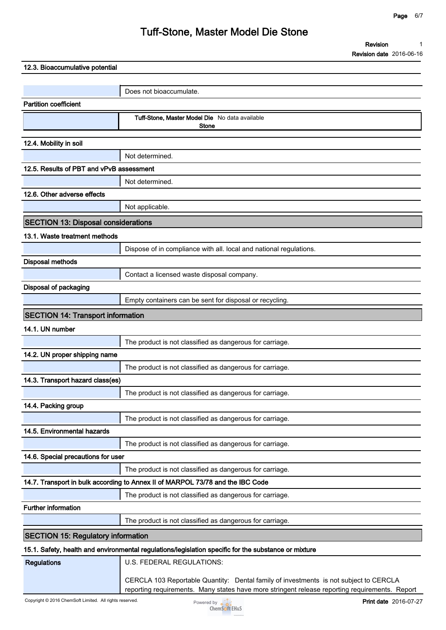**Revision Revision date 2016-06-16 1**

| 12.3. Bioaccumulative potential            |                                                                                                      |
|--------------------------------------------|------------------------------------------------------------------------------------------------------|
|                                            |                                                                                                      |
|                                            | Does not bioaccumulate.                                                                              |
| <b>Partition coefficient</b>               |                                                                                                      |
|                                            | Tuff-Stone, Master Model Die No data available<br><b>Stone</b>                                       |
| 12.4. Mobility in soil                     |                                                                                                      |
|                                            | Not determined.                                                                                      |
| 12.5. Results of PBT and vPvB assessment   |                                                                                                      |
|                                            | Not determined.                                                                                      |
| 12.6. Other adverse effects                |                                                                                                      |
|                                            | Not applicable.                                                                                      |
| <b>SECTION 13: Disposal considerations</b> |                                                                                                      |
| 13.1. Waste treatment methods              |                                                                                                      |
|                                            | Dispose of in compliance with all. local and national regulations.                                   |
| <b>Disposal methods</b>                    |                                                                                                      |
|                                            | Contact a licensed waste disposal company.                                                           |
| Disposal of packaging                      |                                                                                                      |
|                                            | Empty containers can be sent for disposal or recycling.                                              |
| <b>SECTION 14: Transport information</b>   |                                                                                                      |
| 14.1. UN number                            |                                                                                                      |
|                                            | The product is not classified as dangerous for carriage.                                             |
| 14.2. UN proper shipping name              |                                                                                                      |
|                                            | The product is not classified as dangerous for carriage.                                             |
| 14.3. Transport hazard class(es)           |                                                                                                      |
|                                            | The product is not classified as dangerous for carriage.                                             |
| 14.4. Packing group                        |                                                                                                      |
|                                            | The product is not classified as dangerous for carriage.                                             |
| 14.5. Environmental hazards                |                                                                                                      |
|                                            | The product is not classified as dangerous for carriage.                                             |
| 14.6. Special precautions for user         |                                                                                                      |
|                                            | The product is not classified as dangerous for carriage.                                             |
|                                            | 14.7. Transport in bulk according to Annex II of MARPOL 73/78 and the IBC Code                       |
|                                            | The product is not classified as dangerous for carriage.                                             |
| <b>Further information</b>                 |                                                                                                      |
|                                            | The product is not classified as dangerous for carriage.                                             |
| <b>SECTION 15: Regulatory information</b>  |                                                                                                      |
|                                            | 15.1. Safety, health and environmental regulations/legislation specific for the substance or mixture |
| <b>Regulations</b>                         | U.S. FEDERAL REGULATIONS:                                                                            |



**CERCLA 103 Reportable Quantity: Dental family of investments is not subject to CERCLA reporting requirements. Many states have more stringent release reporting requirements. Report**